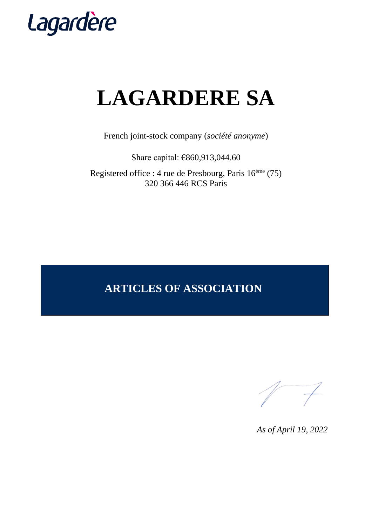

# **LAGARDERE SA**

French joint-stock company (*société anonyme*)

Share capital: €860,913,044.60

Registered office : 4 rue de Presbourg, Paris 16ème (75) 320 366 446 RCS Paris

## **ARTICLES OF ASSOCIATION**

*As of April 19, 2022*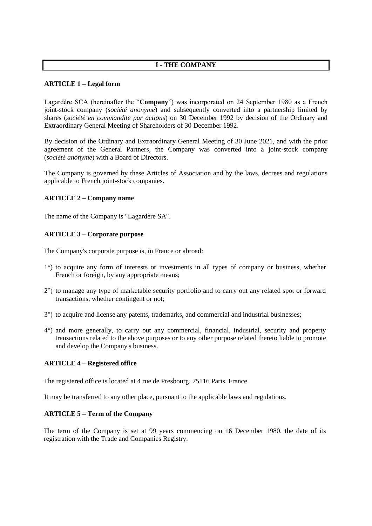#### **I - THE COMPANY**

#### **ARTICLE 1 – Legal form**

Lagardère SCA (hereinafter the "**Company**") was incorporated on 24 September 1980 as a French joint-stock company (*société anonyme*) and subsequently converted into a partnership limited by shares (*société en commandite par actions*) on 30 December 1992 by decision of the Ordinary and Extraordinary General Meeting of Shareholders of 30 December 1992.

By decision of the Ordinary and Extraordinary General Meeting of 30 June 2021, and with the prior agreement of the General Partners, the Company was converted into a joint-stock company (*société anonyme*) with a Board of Directors.

The Company is governed by these Articles of Association and by the laws, decrees and regulations applicable to French joint-stock companies.

#### **ARTICLE 2 – Company name**

The name of the Company is "Lagardère SA".

#### **ARTICLE 3 – Corporate purpose**

The Company's corporate purpose is, in France or abroad:

- 1°) to acquire any form of interests or investments in all types of company or business, whether French or foreign, by any appropriate means;
- 2°) to manage any type of marketable security portfolio and to carry out any related spot or forward transactions, whether contingent or not;
- 3°) to acquire and license any patents, trademarks, and commercial and industrial businesses;
- 4°) and more generally, to carry out any commercial, financial, industrial, security and property transactions related to the above purposes or to any other purpose related thereto liable to promote and develop the Company's business.

#### **ARTICLE 4 – Registered office**

The registered office is located at 4 rue de Presbourg, 75116 Paris, France.

It may be transferred to any other place, pursuant to the applicable laws and regulations.

#### **ARTICLE 5 – Term of the Company**

The term of the Company is set at 99 years commencing on 16 December 1980, the date of its registration with the Trade and Companies Registry.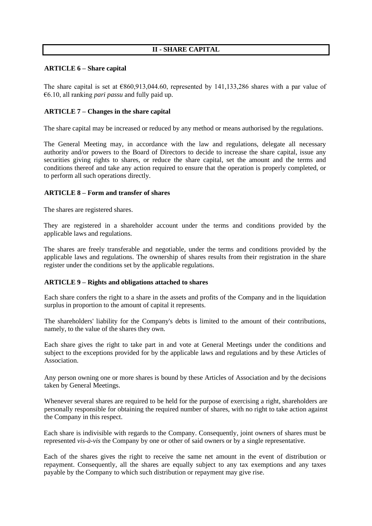#### **II - SHARE CAPITAL**

#### **ARTICLE 6 – Share capital**

The share capital is set at  $\epsilon$ 860,913,044.60, represented by 141,133,286 shares with a par value of €6.10, all ranking *pari passu* and fully paid up.

#### **ARTICLE 7 – Changes in the share capital**

The share capital may be increased or reduced by any method or means authorised by the regulations.

The General Meeting may, in accordance with the law and regulations, delegate all necessary authority and/or powers to the Board of Directors to decide to increase the share capital, issue any securities giving rights to shares, or reduce the share capital, set the amount and the terms and conditions thereof and take any action required to ensure that the operation is properly completed, or to perform all such operations directly.

#### **ARTICLE 8 – Form and transfer of shares**

The shares are registered shares.

They are registered in a shareholder account under the terms and conditions provided by the applicable laws and regulations.

The shares are freely transferable and negotiable, under the terms and conditions provided by the applicable laws and regulations. The ownership of shares results from their registration in the share register under the conditions set by the applicable regulations.

#### **ARTICLE 9 – Rights and obligations attached to shares**

Each share confers the right to a share in the assets and profits of the Company and in the liquidation surplus in proportion to the amount of capital it represents.

The shareholders' liability for the Company's debts is limited to the amount of their contributions, namely, to the value of the shares they own.

Each share gives the right to take part in and vote at General Meetings under the conditions and subject to the exceptions provided for by the applicable laws and regulations and by these Articles of Association.

Any person owning one or more shares is bound by these Articles of Association and by the decisions taken by General Meetings.

Whenever several shares are required to be held for the purpose of exercising a right, shareholders are personally responsible for obtaining the required number of shares, with no right to take action against the Company in this respect.

Each share is indivisible with regards to the Company. Consequently, joint owners of shares must be represented *vis-à-vis* the Company by one or other of said owners or by a single representative.

Each of the shares gives the right to receive the same net amount in the event of distribution or repayment. Consequently, all the shares are equally subject to any tax exemptions and any taxes payable by the Company to which such distribution or repayment may give rise.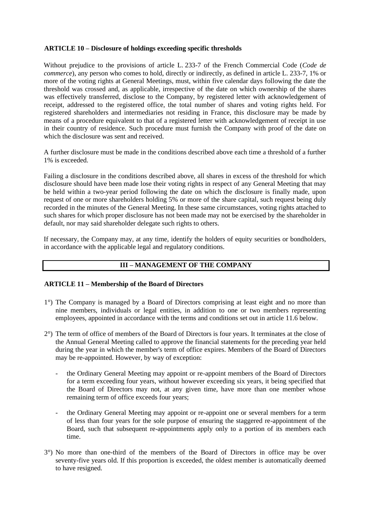#### **ARTICLE 10 – Disclosure of holdings exceeding specific thresholds**

Without prejudice to the provisions of article L. 233-7 of the French Commercial Code (*Code de commerce*), any person who comes to hold, directly or indirectly, as defined in article L. 233-7, 1% or more of the voting rights at General Meetings, must, within five calendar days following the date the threshold was crossed and, as applicable, irrespective of the date on which ownership of the shares was effectively transferred, disclose to the Company, by registered letter with acknowledgement of receipt, addressed to the registered office, the total number of shares and voting rights held. For registered shareholders and intermediaries not residing in France, this disclosure may be made by means of a procedure equivalent to that of a registered letter with acknowledgement of receipt in use in their country of residence. Such procedure must furnish the Company with proof of the date on which the disclosure was sent and received.

A further disclosure must be made in the conditions described above each time a threshold of a further 1% is exceeded.

Failing a disclosure in the conditions described above, all shares in excess of the threshold for which disclosure should have been made lose their voting rights in respect of any General Meeting that may be held within a two-year period following the date on which the disclosure is finally made, upon request of one or more shareholders holding 5% or more of the share capital, such request being duly recorded in the minutes of the General Meeting. In these same circumstances, voting rights attached to such shares for which proper disclosure has not been made may not be exercised by the shareholder in default, nor may said shareholder delegate such rights to others.

If necessary, the Company may, at any time, identify the holders of equity securities or bondholders, in accordance with the applicable legal and regulatory conditions.

#### **III – MANAGEMENT OF THE COMPANY**

#### **ARTICLE 11 – Membership of the Board of Directors**

- 1°) The Company is managed by a Board of Directors comprising at least eight and no more than nine members, individuals or legal entities, in addition to one or two members representing employees, appointed in accordance with the terms and conditions set out in article 11.6 below.
- 2°) The term of office of members of the Board of Directors is four years. It terminates at the close of the Annual General Meeting called to approve the financial statements for the preceding year held during the year in which the member's term of office expires. Members of the Board of Directors may be re-appointed. However, by way of exception:
	- the Ordinary General Meeting may appoint or re-appoint members of the Board of Directors for a term exceeding four years, without however exceeding six years, it being specified that the Board of Directors may not, at any given time, have more than one member whose remaining term of office exceeds four years;
	- the Ordinary General Meeting may appoint or re-appoint one or several members for a term of less than four years for the sole purpose of ensuring the staggered re-appointment of the Board, such that subsequent re-appointments apply only to a portion of its members each time.
- 3°) No more than one-third of the members of the Board of Directors in office may be over seventy-five years old. If this proportion is exceeded, the oldest member is automatically deemed to have resigned.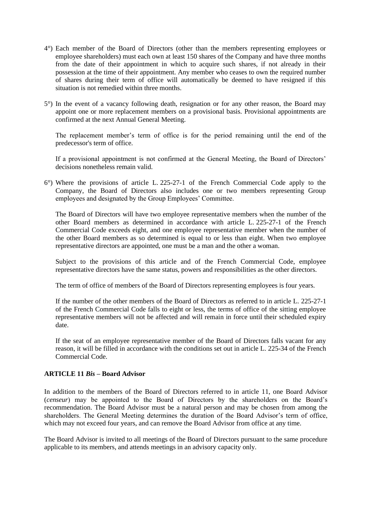- 4°) Each member of the Board of Directors (other than the members representing employees or employee shareholders) must each own at least 150 shares of the Company and have three months from the date of their appointment in which to acquire such shares, if not already in their possession at the time of their appointment. Any member who ceases to own the required number of shares during their term of office will automatically be deemed to have resigned if this situation is not remedied within three months.
- 5°) In the event of a vacancy following death, resignation or for any other reason, the Board may appoint one or more replacement members on a provisional basis. Provisional appointments are confirmed at the next Annual General Meeting.

The replacement member's term of office is for the period remaining until the end of the predecessor's term of office.

If a provisional appointment is not confirmed at the General Meeting, the Board of Directors' decisions nonetheless remain valid.

6°) Where the provisions of article L. 225-27-1 of the French Commercial Code apply to the Company, the Board of Directors also includes one or two members representing Group employees and designated by the Group Employees' Committee.

The Board of Directors will have two employee representative members when the number of the other Board members as determined in accordance with article L. 225-27-1 of the French Commercial Code exceeds eight, and one employee representative member when the number of the other Board members as so determined is equal to or less than eight. When two employee representative directors are appointed, one must be a man and the other a woman.

Subject to the provisions of this article and of the French Commercial Code, employee representative directors have the same status, powers and responsibilities as the other directors.

The term of office of members of the Board of Directors representing employees is four years.

If the number of the other members of the Board of Directors as referred to in article L. 225-27-1 of the French Commercial Code falls to eight or less, the terms of office of the sitting employee representative members will not be affected and will remain in force until their scheduled expiry date.

If the seat of an employee representative member of the Board of Directors falls vacant for any reason, it will be filled in accordance with the conditions set out in article L. 225-34 of the French Commercial Code.

#### **ARTICLE 11** *Bis* **– Board Advisor**

In addition to the members of the Board of Directors referred to in article 11, one Board Advisor (*censeur*) may be appointed to the Board of Directors by the shareholders on the Board's recommendation. The Board Advisor must be a natural person and may be chosen from among the shareholders. The General Meeting determines the duration of the Board Advisor's term of office, which may not exceed four years, and can remove the Board Advisor from office at any time.

The Board Advisor is invited to all meetings of the Board of Directors pursuant to the same procedure applicable to its members, and attends meetings in an advisory capacity only.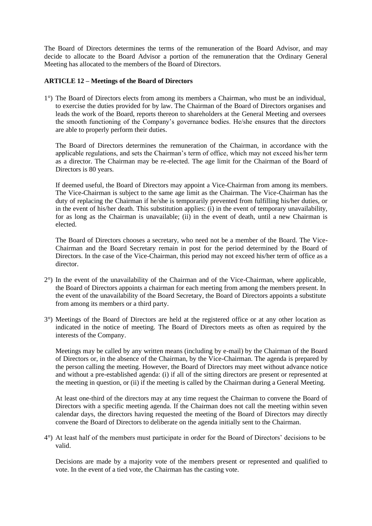The Board of Directors determines the terms of the remuneration of the Board Advisor, and may decide to allocate to the Board Advisor a portion of the remuneration that the Ordinary General Meeting has allocated to the members of the Board of Directors.

#### **ARTICLE 12 – Meetings of the Board of Directors**

1°) The Board of Directors elects from among its members a Chairman, who must be an individual, to exercise the duties provided for by law. The Chairman of the Board of Directors organises and leads the work of the Board, reports thereon to shareholders at the General Meeting and oversees the smooth functioning of the Company's governance bodies. He/she ensures that the directors are able to properly perform their duties.

The Board of Directors determines the remuneration of the Chairman, in accordance with the applicable regulations, and sets the Chairman's term of office, which may not exceed his/her term as a director. The Chairman may be re-elected. The age limit for the Chairman of the Board of Directors is 80 years.

If deemed useful, the Board of Directors may appoint a Vice-Chairman from among its members. The Vice-Chairman is subject to the same age limit as the Chairman. The Vice-Chairman has the duty of replacing the Chairman if he/she is temporarily prevented from fulfilling his/her duties, or in the event of his/her death. This substitution applies: (i) in the event of temporary unavailability, for as long as the Chairman is unavailable; (ii) in the event of death, until a new Chairman is elected.

The Board of Directors chooses a secretary, who need not be a member of the Board. The Vice-Chairman and the Board Secretary remain in post for the period determined by the Board of Directors. In the case of the Vice-Chairman, this period may not exceed his/her term of office as a director.

- 2°) In the event of the unavailability of the Chairman and of the Vice-Chairman, where applicable, the Board of Directors appoints a chairman for each meeting from among the members present. In the event of the unavailability of the Board Secretary, the Board of Directors appoints a substitute from among its members or a third party.
- 3°) Meetings of the Board of Directors are held at the registered office or at any other location as indicated in the notice of meeting. The Board of Directors meets as often as required by the interests of the Company.

Meetings may be called by any written means (including by e-mail) by the Chairman of the Board of Directors or, in the absence of the Chairman, by the Vice-Chairman. The agenda is prepared by the person calling the meeting. However, the Board of Directors may meet without advance notice and without a pre-established agenda: (i) if all of the sitting directors are present or represented at the meeting in question, or (ii) if the meeting is called by the Chairman during a General Meeting.

At least one-third of the directors may at any time request the Chairman to convene the Board of Directors with a specific meeting agenda. If the Chairman does not call the meeting within seven calendar days, the directors having requested the meeting of the Board of Directors may directly convene the Board of Directors to deliberate on the agenda initially sent to the Chairman.

4°) At least half of the members must participate in order for the Board of Directors' decisions to be valid.

Decisions are made by a majority vote of the members present or represented and qualified to vote. In the event of a tied vote, the Chairman has the casting vote.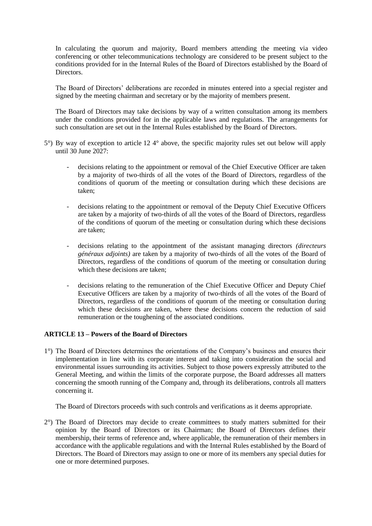In calculating the quorum and majority, Board members attending the meeting via video conferencing or other telecommunications technology are considered to be present subject to the conditions provided for in the Internal Rules of the Board of Directors established by the Board of Directors.

The Board of Directors' deliberations are recorded in minutes entered into a special register and signed by the meeting chairman and secretary or by the majority of members present.

The Board of Directors may take decisions by way of a written consultation among its members under the conditions provided for in the applicable laws and regulations. The arrangements for such consultation are set out in the Internal Rules established by the Board of Directors.

- 5°) By way of exception to article 12 4° above, the specific majority rules set out below will apply until 30 June 2027:
	- decisions relating to the appointment or removal of the Chief Executive Officer are taken by a majority of two-thirds of all the votes of the Board of Directors, regardless of the conditions of quorum of the meeting or consultation during which these decisions are taken;
	- decisions relating to the appointment or removal of the Deputy Chief Executive Officers are taken by a majority of two-thirds of all the votes of the Board of Directors, regardless of the conditions of quorum of the meeting or consultation during which these decisions are taken;
	- decisions relating to the appointment of the assistant managing directors *(directeurs généraux adjoints)* are taken by a majority of two-thirds of all the votes of the Board of Directors, regardless of the conditions of quorum of the meeting or consultation during which these decisions are taken;
	- decisions relating to the remuneration of the Chief Executive Officer and Deputy Chief Executive Officers are taken by a majority of two-thirds of all the votes of the Board of Directors, regardless of the conditions of quorum of the meeting or consultation during which these decisions are taken, where these decisions concern the reduction of said remuneration or the toughening of the associated conditions.

#### **ARTICLE 13 – Powers of the Board of Directors**

1°) The Board of Directors determines the orientations of the Company's business and ensures their implementation in line with its corporate interest and taking into consideration the social and environmental issues surrounding its activities. Subject to those powers expressly attributed to the General Meeting, and within the limits of the corporate purpose, the Board addresses all matters concerning the smooth running of the Company and, through its deliberations, controls all matters concerning it.

The Board of Directors proceeds with such controls and verifications as it deems appropriate.

2°) The Board of Directors may decide to create committees to study matters submitted for their opinion by the Board of Directors or its Chairman; the Board of Directors defines their membership, their terms of reference and, where applicable, the remuneration of their members in accordance with the applicable regulations and with the Internal Rules established by the Board of Directors. The Board of Directors may assign to one or more of its members any special duties for one or more determined purposes.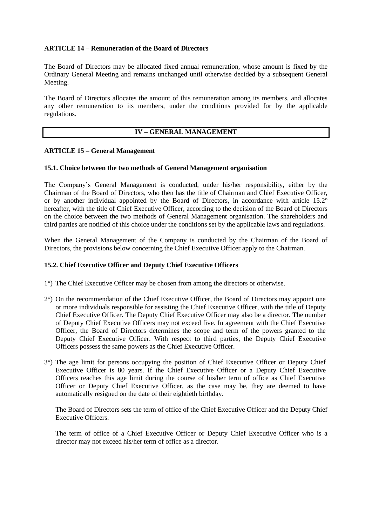#### **ARTICLE 14 – Remuneration of the Board of Directors**

The Board of Directors may be allocated fixed annual remuneration, whose amount is fixed by the Ordinary General Meeting and remains unchanged until otherwise decided by a subsequent General Meeting.

The Board of Directors allocates the amount of this remuneration among its members, and allocates any other remuneration to its members, under the conditions provided for by the applicable regulations.

#### **IV – GENERAL MANAGEMENT**

#### **ARTICLE 15 – General Management**

#### **15.1. Choice between the two methods of General Management organisation**

The Company's General Management is conducted, under his/her responsibility, either by the Chairman of the Board of Directors, who then has the title of Chairman and Chief Executive Officer, or by another individual appointed by the Board of Directors, in accordance with article 15.2° hereafter, with the title of Chief Executive Officer, according to the decision of the Board of Directors on the choice between the two methods of General Management organisation. The shareholders and third parties are notified of this choice under the conditions set by the applicable laws and regulations.

When the General Management of the Company is conducted by the Chairman of the Board of Directors, the provisions below concerning the Chief Executive Officer apply to the Chairman.

#### **15.2. Chief Executive Officer and Deputy Chief Executive Officers**

- 1°) The Chief Executive Officer may be chosen from among the directors or otherwise.
- 2°) On the recommendation of the Chief Executive Officer, the Board of Directors may appoint one or more individuals responsible for assisting the Chief Executive Officer, with the title of Deputy Chief Executive Officer. The Deputy Chief Executive Officer may also be a director. The number of Deputy Chief Executive Officers may not exceed five. In agreement with the Chief Executive Officer, the Board of Directors determines the scope and term of the powers granted to the Deputy Chief Executive Officer. With respect to third parties, the Deputy Chief Executive Officers possess the same powers as the Chief Executive Officer.
- 3°) The age limit for persons occupying the position of Chief Executive Officer or Deputy Chief Executive Officer is 80 years. If the Chief Executive Officer or a Deputy Chief Executive Officers reaches this age limit during the course of his/her term of office as Chief Executive Officer or Deputy Chief Executive Officer, as the case may be, they are deemed to have automatically resigned on the date of their eightieth birthday.

The Board of Directors sets the term of office of the Chief Executive Officer and the Deputy Chief Executive Officers.

The term of office of a Chief Executive Officer or Deputy Chief Executive Officer who is a director may not exceed his/her term of office as a director.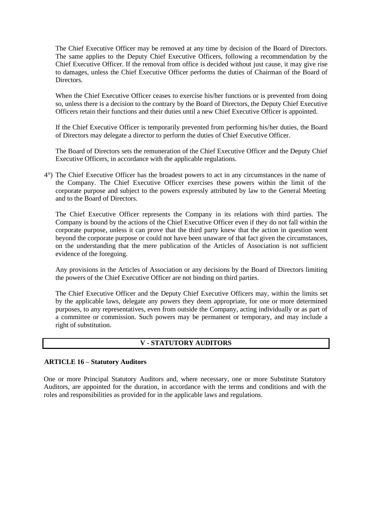The Chief Executive Officer may be removed at any time by decision of the Board of Directors. The same applies to the Deputy Chief Executive Officers, following a recommendation by the Chief Executive Officer. If the removal from office is decided without just cause, it may give rise to damages, unless the Chief Executive Officer performs the duties of Chairman of the Board of Directors.

When the Chief Executive Officer ceases to exercise his/her functions or is prevented from doing so, unless there is a decision to the contrary by the Board of Directors, the Deputy Chief Executive Officers retain their functions and their duties until a new Chief Executive Officer is appointed.

If the Chief Executive Officer is temporarily prevented from performing his/her duties, the Board of Directors may delegate a director to perform the duties of Chief Executive Officer.

The Board of Directors sets the remuneration of the Chief Executive Officer and the Deputy Chief Executive Officers, in accordance with the applicable regulations.

4°) The Chief Executive Officer has the broadest powers to act in any circumstances in the name of the Company. The Chief Executive Officer exercises these powers within the limit of the corporate purpose and subject to the powers expressly attributed by law to the General Meeting and to the Board of Directors.

The Chief Executive Officer represents the Company in its relations with third parties. The Company is bound by the actions of the Chief Executive Officer even if they do not fall within the corporate purpose, unless it can prove that the third party knew that the action in question went beyond the corporate purpose or could not have been unaware of that fact given the circumstances, on the understanding that the mere publication of the Articles of Association is not sufficient evidence of the foregoing.

Any provisions in the Articles of Association or any decisions by the Board of Directors limiting the powers of the Chief Executive Officer are not binding on third parties.

The Chief Executive Officer and the Deputy Chief Executive Officers may, within the limits set by the applicable laws, delegate any powers they deem appropriate, for one or more determined purposes, to any representatives, even from outside the Company, acting individually or as part of a committee or commission. Such powers may be permanent or temporary, and may include a right of substitution.

#### **V - STATUTORY AUDITORS**

#### **ARTICLE 16 – Statutory Auditors**

One or more Principal Statutory Auditors and, where necessary, one or more Substitute Statutory Auditors, are appointed for the duration, in accordance with the terms and conditions and with the roles and responsibilities as provided for in the applicable laws and regulations.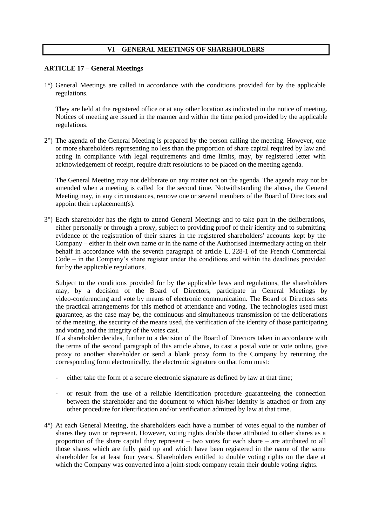#### **VI – GENERAL MEETINGS OF SHAREHOLDERS**

#### **ARTICLE 17 – General Meetings**

1°) General Meetings are called in accordance with the conditions provided for by the applicable regulations.

They are held at the registered office or at any other location as indicated in the notice of meeting. Notices of meeting are issued in the manner and within the time period provided by the applicable regulations.

2°) The agenda of the General Meeting is prepared by the person calling the meeting. However, one or more shareholders representing no less than the proportion of share capital required by law and acting in compliance with legal requirements and time limits, may, by registered letter with acknowledgement of receipt, require draft resolutions to be placed on the meeting agenda.

The General Meeting may not deliberate on any matter not on the agenda. The agenda may not be amended when a meeting is called for the second time. Notwithstanding the above, the General Meeting may, in any circumstances, remove one or several members of the Board of Directors and appoint their replacement(s).

3°) Each shareholder has the right to attend General Meetings and to take part in the deliberations, either personally or through a proxy, subject to providing proof of their identity and to submitting evidence of the registration of their shares in the registered shareholders' accounts kept by the Company – either in their own name or in the name of the Authorised Intermediary acting on their behalf in accordance with the seventh paragraph of article L. 228-1 of the French Commercial Code – in the Company's share register under the conditions and within the deadlines provided for by the applicable regulations.

Subject to the conditions provided for by the applicable laws and regulations, the shareholders may, by a decision of the Board of Directors, participate in General Meetings by video-conferencing and vote by means of electronic communication. The Board of Directors sets the practical arrangements for this method of attendance and voting. The technologies used must guarantee, as the case may be, the continuous and simultaneous transmission of the deliberations of the meeting, the security of the means used, the verification of the identity of those participating and voting and the integrity of the votes cast.

If a shareholder decides, further to a decision of the Board of Directors taken in accordance with the terms of the second paragraph of this article above, to cast a postal vote or vote online, give proxy to another shareholder or send a blank proxy form to the Company by returning the corresponding form electronically, the electronic signature on that form must:

- either take the form of a secure electronic signature as defined by law at that time;
- or result from the use of a reliable identification procedure guaranteeing the connection between the shareholder and the document to which his/her identity is attached or from any other procedure for identification and/or verification admitted by law at that time.
- 4°) At each General Meeting, the shareholders each have a number of votes equal to the number of shares they own or represent. However, voting rights double those attributed to other shares as a proportion of the share capital they represent – two votes for each share – are attributed to all those shares which are fully paid up and which have been registered in the name of the same shareholder for at least four years. Shareholders entitled to double voting rights on the date at which the Company was converted into a joint-stock company retain their double voting rights.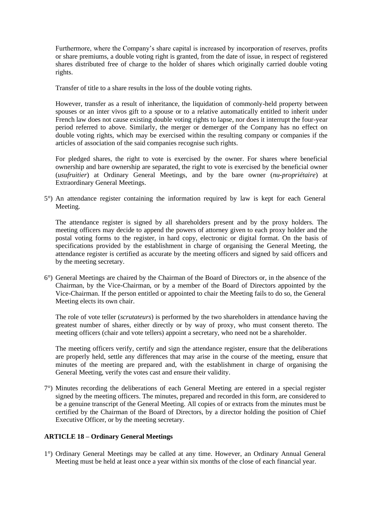Furthermore, where the Company's share capital is increased by incorporation of reserves, profits or share premiums, a double voting right is granted, from the date of issue, in respect of registered shares distributed free of charge to the holder of shares which originally carried double voting rights.

Transfer of title to a share results in the loss of the double voting rights.

However, transfer as a result of inheritance, the liquidation of commonly-held property between spouses or an inter vivos gift to a spouse or to a relative automatically entitled to inherit under French law does not cause existing double voting rights to lapse, nor does it interrupt the four-year period referred to above. Similarly, the merger or demerger of the Company has no effect on double voting rights, which may be exercised within the resulting company or companies if the articles of association of the said companies recognise such rights.

For pledged shares, the right to vote is exercised by the owner. For shares where beneficial ownership and bare ownership are separated, the right to vote is exercised by the beneficial owner (*usufruitier*) at Ordinary General Meetings, and by the bare owner (*nu-propriétaire*) at Extraordinary General Meetings.

5°) An attendance register containing the information required by law is kept for each General Meeting.

The attendance register is signed by all shareholders present and by the proxy holders. The meeting officers may decide to append the powers of attorney given to each proxy holder and the postal voting forms to the register, in hard copy, electronic or digital format. On the basis of specifications provided by the establishment in charge of organising the General Meeting, the attendance register is certified as accurate by the meeting officers and signed by said officers and by the meeting secretary.

6°) General Meetings are chaired by the Chairman of the Board of Directors or, in the absence of the Chairman, by the Vice-Chairman, or by a member of the Board of Directors appointed by the Vice-Chairman. If the person entitled or appointed to chair the Meeting fails to do so, the General Meeting elects its own chair.

The role of vote teller (*scrutateurs*) is performed by the two shareholders in attendance having the greatest number of shares, either directly or by way of proxy, who must consent thereto. The meeting officers (chair and vote tellers) appoint a secretary, who need not be a shareholder.

The meeting officers verify, certify and sign the attendance register, ensure that the deliberations are properly held, settle any differences that may arise in the course of the meeting, ensure that minutes of the meeting are prepared and, with the establishment in charge of organising the General Meeting, verify the votes cast and ensure their validity.

7°) Minutes recording the deliberations of each General Meeting are entered in a special register signed by the meeting officers. The minutes, prepared and recorded in this form, are considered to be a genuine transcript of the General Meeting. All copies of or extracts from the minutes must be certified by the Chairman of the Board of Directors, by a director holding the position of Chief Executive Officer, or by the meeting secretary.

#### **ARTICLE 18 – Ordinary General Meetings**

1°) Ordinary General Meetings may be called at any time. However, an Ordinary Annual General Meeting must be held at least once a year within six months of the close of each financial year.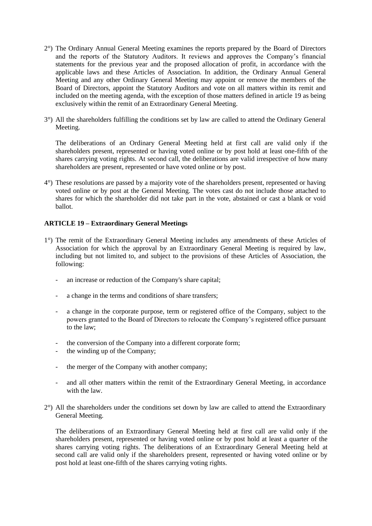- 2°) The Ordinary Annual General Meeting examines the reports prepared by the Board of Directors and the reports of the Statutory Auditors. It reviews and approves the Company's financial statements for the previous year and the proposed allocation of profit, in accordance with the applicable laws and these Articles of Association. In addition, the Ordinary Annual General Meeting and any other Ordinary General Meeting may appoint or remove the members of the Board of Directors, appoint the Statutory Auditors and vote on all matters within its remit and included on the meeting agenda, with the exception of those matters defined in article 19 as being exclusively within the remit of an Extraordinary General Meeting.
- 3°) All the shareholders fulfilling the conditions set by law are called to attend the Ordinary General Meeting.

The deliberations of an Ordinary General Meeting held at first call are valid only if the shareholders present, represented or having voted online or by post hold at least one-fifth of the shares carrying voting rights. At second call, the deliberations are valid irrespective of how many shareholders are present, represented or have voted online or by post.

4°) These resolutions are passed by a majority vote of the shareholders present, represented or having voted online or by post at the General Meeting. The votes cast do not include those attached to shares for which the shareholder did not take part in the vote, abstained or cast a blank or void ballot.

#### **ARTICLE 19 – Extraordinary General Meetings**

- 1°) The remit of the Extraordinary General Meeting includes any amendments of these Articles of Association for which the approval by an Extraordinary General Meeting is required by law, including but not limited to, and subject to the provisions of these Articles of Association, the following:
	- an increase or reduction of the Company's share capital;
	- a change in the terms and conditions of share transfers;
	- a change in the corporate purpose, term or registered office of the Company, subject to the powers granted to the Board of Directors to relocate the Company's registered office pursuant to the law;
	- the conversion of the Company into a different corporate form;
	- the winding up of the Company;
	- the merger of the Company with another company;
	- and all other matters within the remit of the Extraordinary General Meeting, in accordance with the law.
- 2°) All the shareholders under the conditions set down by law are called to attend the Extraordinary General Meeting.

The deliberations of an Extraordinary General Meeting held at first call are valid only if the shareholders present, represented or having voted online or by post hold at least a quarter of the shares carrying voting rights. The deliberations of an Extraordinary General Meeting held at second call are valid only if the shareholders present, represented or having voted online or by post hold at least one-fifth of the shares carrying voting rights.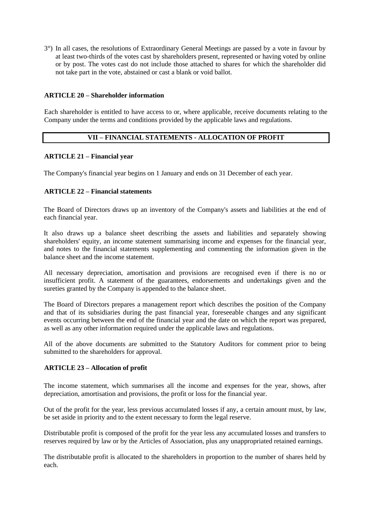3°) In all cases, the resolutions of Extraordinary General Meetings are passed by a vote in favour by at least two-thirds of the votes cast by shareholders present, represented or having voted by online or by post. The votes cast do not include those attached to shares for which the shareholder did not take part in the vote, abstained or cast a blank or void ballot.

#### **ARTICLE 20 – Shareholder information**

Each shareholder is entitled to have access to or, where applicable, receive documents relating to the Company under the terms and conditions provided by the applicable laws and regulations.

#### **VII – FINANCIAL STATEMENTS - ALLOCATION OF PROFIT**

#### **ARTICLE 21 – Financial year**

The Company's financial year begins on 1 January and ends on 31 December of each year.

#### **ARTICLE 22 – Financial statements**

The Board of Directors draws up an inventory of the Company's assets and liabilities at the end of each financial year.

It also draws up a balance sheet describing the assets and liabilities and separately showing shareholders' equity, an income statement summarising income and expenses for the financial year, and notes to the financial statements supplementing and commenting the information given in the balance sheet and the income statement.

All necessary depreciation, amortisation and provisions are recognised even if there is no or insufficient profit. A statement of the guarantees, endorsements and undertakings given and the sureties granted by the Company is appended to the balance sheet.

The Board of Directors prepares a management report which describes the position of the Company and that of its subsidiaries during the past financial year, foreseeable changes and any significant events occurring between the end of the financial year and the date on which the report was prepared, as well as any other information required under the applicable laws and regulations.

All of the above documents are submitted to the Statutory Auditors for comment prior to being submitted to the shareholders for approval.

#### **ARTICLE 23 – Allocation of profit**

The income statement, which summarises all the income and expenses for the year, shows, after depreciation, amortisation and provisions, the profit or loss for the financial year.

Out of the profit for the year, less previous accumulated losses if any, a certain amount must, by law, be set aside in priority and to the extent necessary to form the legal reserve.

Distributable profit is composed of the profit for the year less any accumulated losses and transfers to reserves required by law or by the Articles of Association, plus any unappropriated retained earnings.

The distributable profit is allocated to the shareholders in proportion to the number of shares held by each.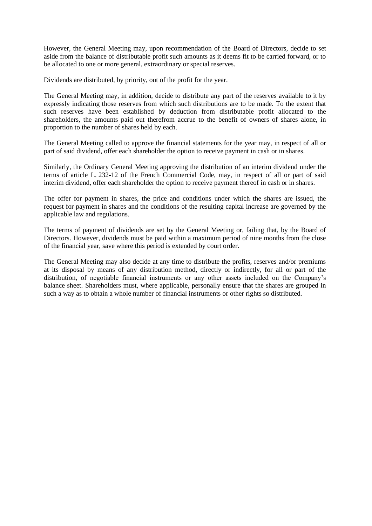However, the General Meeting may, upon recommendation of the Board of Directors, decide to set aside from the balance of distributable profit such amounts as it deems fit to be carried forward, or to be allocated to one or more general, extraordinary or special reserves.

Dividends are distributed, by priority, out of the profit for the year.

The General Meeting may, in addition, decide to distribute any part of the reserves available to it by expressly indicating those reserves from which such distributions are to be made. To the extent that such reserves have been established by deduction from distributable profit allocated to the shareholders, the amounts paid out therefrom accrue to the benefit of owners of shares alone, in proportion to the number of shares held by each.

The General Meeting called to approve the financial statements for the year may, in respect of all or part of said dividend, offer each shareholder the option to receive payment in cash or in shares.

Similarly, the Ordinary General Meeting approving the distribution of an interim dividend under the terms of article L. 232-12 of the French Commercial Code, may, in respect of all or part of said interim dividend, offer each shareholder the option to receive payment thereof in cash or in shares.

The offer for payment in shares, the price and conditions under which the shares are issued, the request for payment in shares and the conditions of the resulting capital increase are governed by the applicable law and regulations.

The terms of payment of dividends are set by the General Meeting or, failing that, by the Board of Directors. However, dividends must be paid within a maximum period of nine months from the close of the financial year, save where this period is extended by court order.

The General Meeting may also decide at any time to distribute the profits, reserves and/or premiums at its disposal by means of any distribution method, directly or indirectly, for all or part of the distribution, of negotiable financial instruments or any other assets included on the Company's balance sheet. Shareholders must, where applicable, personally ensure that the shares are grouped in such a way as to obtain a whole number of financial instruments or other rights so distributed.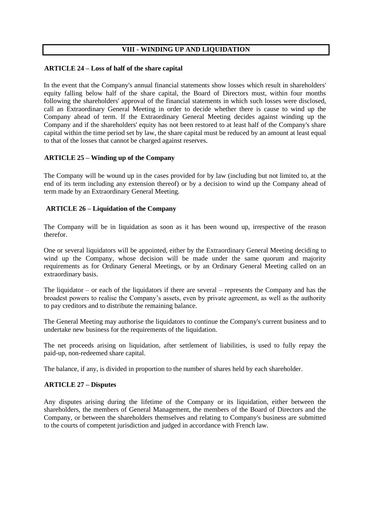#### **VIII - WINDING UP AND LIQUIDATION**

#### **ARTICLE 24 – Loss of half of the share capital**

In the event that the Company's annual financial statements show losses which result in shareholders' equity falling below half of the share capital, the Board of Directors must, within four months following the shareholders' approval of the financial statements in which such losses were disclosed, call an Extraordinary General Meeting in order to decide whether there is cause to wind up the Company ahead of term. If the Extraordinary General Meeting decides against winding up the Company and if the shareholders' equity has not been restored to at least half of the Company's share capital within the time period set by law, the share capital must be reduced by an amount at least equal to that of the losses that cannot be charged against reserves.

#### **ARTICLE 25 – Winding up of the Company**

The Company will be wound up in the cases provided for by law (including but not limited to, at the end of its term including any extension thereof) or by a decision to wind up the Company ahead of term made by an Extraordinary General Meeting.

#### **ARTICLE 26 – Liquidation of the Company**

The Company will be in liquidation as soon as it has been wound up, irrespective of the reason therefor.

One or several liquidators will be appointed, either by the Extraordinary General Meeting deciding to wind up the Company, whose decision will be made under the same quorum and majority requirements as for Ordinary General Meetings, or by an Ordinary General Meeting called on an extraordinary basis.

The liquidator – or each of the liquidators if there are several – represents the Company and has the broadest powers to realise the Company's assets, even by private agreement, as well as the authority to pay creditors and to distribute the remaining balance.

The General Meeting may authorise the liquidators to continue the Company's current business and to undertake new business for the requirements of the liquidation.

The net proceeds arising on liquidation, after settlement of liabilities, is used to fully repay the paid-up, non-redeemed share capital.

The balance, if any, is divided in proportion to the number of shares held by each shareholder.

#### **ARTICLE 27 – Disputes**

Any disputes arising during the lifetime of the Company or its liquidation, either between the shareholders, the members of General Management, the members of the Board of Directors and the Company, or between the shareholders themselves and relating to Company's business are submitted to the courts of competent jurisdiction and judged in accordance with French law.